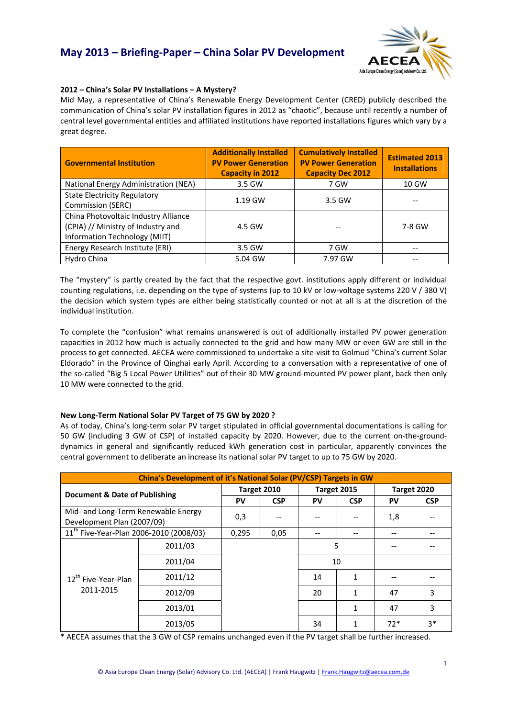

### **2012 – China's Solar PV Installations – A Mystery?**

Mid May, a representative of China's Renewable Energy Development Center (CRED) publicly described the communication of China's solar PV installation figures in 2012 as "chaotic", because until recently a number of central level governmental entities and affiliated institutions have reported installations figures which vary by a great degree.

| <b>Governmental Institution</b>                                                                             | <b>Additionally Installed</b><br><b>PV Power Generation</b><br><b>Capacity in 2012</b> | <b>Cumulatively Installed</b><br><b>PV Power Generation</b><br><b>Capacity Dec 2012</b> | <b>Estimated 2013</b><br><b>Installations</b> |
|-------------------------------------------------------------------------------------------------------------|----------------------------------------------------------------------------------------|-----------------------------------------------------------------------------------------|-----------------------------------------------|
| National Energy Administration (NEA)                                                                        | 3.5 GW                                                                                 | 7 GW                                                                                    | 10 GW                                         |
| <b>State Electricity Regulatory</b><br>Commission (SERC)                                                    | 1.19 GW                                                                                | 3.5 GW                                                                                  |                                               |
| China Photovoltaic Industry Alliance<br>(CPIA) // Ministry of Industry and<br>Information Technology (MIIT) | 4.5 GW                                                                                 |                                                                                         | 7-8 GW                                        |
| Energy Research Institute (ERI)                                                                             | 3.5 GW                                                                                 | 7 GW                                                                                    |                                               |
| Hydro China                                                                                                 | 5.04 GW                                                                                | 7.97 GW                                                                                 |                                               |

The "mystery" is partly created by the fact that the respective govt. institutions apply different or individual counting regulations, i.e. depending on the type of systems (up to 10 kV or low‐voltage systems 220 V / 380 V) the decision which system types are either being statistically counted or not at all is at the discretion of the individual institution.

To complete the "confusion" what remains unanswered is out of additionally installed PV power generation capacities in 2012 how much is actually connected to the grid and how many MW or even GW are still in the process to get connected. AECEA were commissioned to undertake a site‐visit to Golmud "China's current Solar Eldorado" in the Province of Qinghai early April. According to a conversation with a representative of one of the so-called "Big 5 Local Power Utilities" out of their 30 MW ground-mounted PV power plant, back then only 10 MW were connected to the grid.

## **New Long‐Term National Solar PV Target of 75 GW by 2020 ?**

As of today, China's long‐term solar PV target stipulated in official governmental documentations is calling for 50 GW (including 3 GW of CSP) of installed capacity by 2020. However, due to the current on-the-grounddynamics in general and significantly reduced kWh generation cost in particular, apparently convinces the central government to deliberate an increase its national solar PV target to up to 75 GW by 2020.

| China's Development of it's National Solar (PV/CSP) Targets in GW |         |             |            |             |              |             |            |
|-------------------------------------------------------------------|---------|-------------|------------|-------------|--------------|-------------|------------|
| Document & Date of Publishing                                     |         | Target 2010 |            | Target 2015 |              | Target 2020 |            |
|                                                                   |         | PV          | <b>CSP</b> | PV          | <b>CSP</b>   | PV          | <b>CSP</b> |
| Mid- and Long-Term Renewable Energy<br>Development Plan (2007/09) |         | 0,3         |            |             |              | 1,8         |            |
| 11 <sup>th</sup> Five-Year-Plan 2006-2010 (2008/03)               |         | 0,295       | 0.05       |             | --           |             |            |
| 12 <sup>th</sup> Five-Year-Plan<br>2011-2015                      | 2011/03 |             |            |             | 5            |             |            |
|                                                                   | 2011/04 |             |            |             | 10           |             |            |
|                                                                   | 2011/12 |             |            | 14          | 1            |             |            |
|                                                                   | 2012/09 |             |            | 20          | 1            | 47          | 3          |
|                                                                   | 2013/01 |             |            |             | $\mathbf{1}$ | 47          | 3          |
|                                                                   | 2013/05 |             |            | 34          |              | $72*$       | $3*$       |

\* AECEA assumes that the 3 GW of CSP remains unchanged even if the PV target shall be further increased.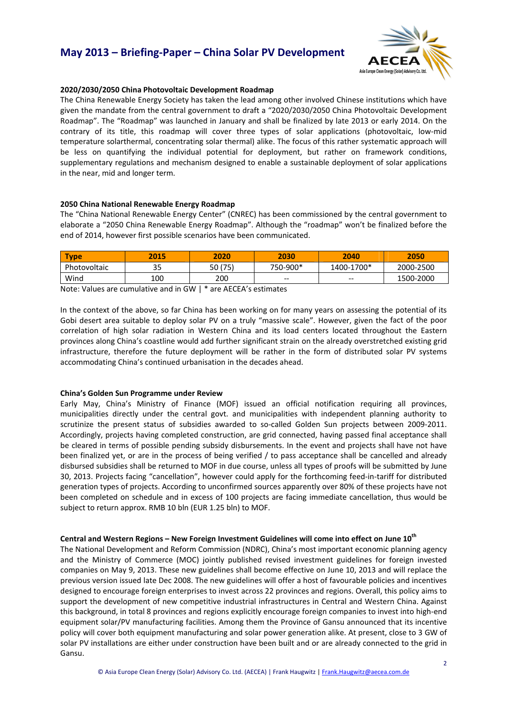# **May 2013 – Briefing‐Paper – China Solar PV Development**



### **2020/2030/2050 China Photovoltaic Development Roadmap**

The China Renewable Energy Society has taken the lead among other involved Chinese institutions which have given the mandate from the central government to draft a "2020/2030/2050 China Photovoltaic Development Roadmap". The "Roadmap" was launched in January and shall be finalized by late 2013 or early 2014. On the contrary of its title, this roadmap will cover three types of solar applications (photovoltaic, low-mid temperature solarthermal, concentrating solar thermal) alike. The focus of this rather systematic approach will be less on quantifying the individual potential for deployment, but rather on framework conditions, supplementary regulations and mechanism designed to enable a sustainable deployment of solar applications in the near, mid and longer term.

### **2050 China National Renewable Energy Roadmap**

The "China National Renewable Energy Center" (CNREC) has been commissioned by the central government to elaborate a "2050 China Renewable Energy Roadmap". Although the "roadmap" won't be finalized before the end of 2014, however first possible scenarios have been communicated.

| <b>Type</b>  | 2015 | 2020    | 2030     | 2040       | 2050      |
|--------------|------|---------|----------|------------|-----------|
| Photovoltaic | 35   | 50 (75) | 750-900* | 1400-1700* | 2000-2500 |
| Wind         | 100  | 200     | $-$      | $- -$      | 1500-2000 |

Note: Values are cumulative and in GW | \* are AECEA's estimates

In the context of the above, so far China has been working on for many years on assessing the potential of its Gobi desert area suitable to deploy solar PV on a truly "massive scale". However, given the fact of the poor correlation of high solar radiation in Western China and its load centers located throughout the Eastern provinces along China's coastline would add further significant strain on the already overstretched existing grid infrastructure, therefore the future deployment will be rather in the form of distributed solar PV systems accommodating China's continued urbanisation in the decades ahead.

#### **China's Golden Sun Programme under Review**

Early May, China's Ministry of Finance (MOF) issued an official notification requiring all provinces, municipalities directly under the central govt. and municipalities with independent planning authority to scrutinize the present status of subsidies awarded to so-called Golden Sun projects between 2009-2011. Accordingly, projects having completed construction, are grid connected, having passed final acceptance shall be cleared in terms of possible pending subsidy disbursements. In the event and projects shall have not have been finalized yet, or are in the process of being verified / to pass acceptance shall be cancelled and already disbursed subsidies shall be returned to MOF in due course, unless all types of proofs will be submitted by June 30, 2013. Projects facing "cancellation", however could apply for the forthcoming feed‐in‐tariff for distributed generation types of projects. According to unconfirmed sources apparently over 80% of these projects have not been completed on schedule and in excess of 100 projects are facing immediate cancellation, thus would be subject to return approx. RMB 10 bln (EUR 1.25 bln) to MOF.

### **Central and Western Regions – New Foreign Investment Guidelines will come into effect on June 10th**

The National Development and Reform Commission (NDRC), China's most important economic planning agency and the Ministry of Commerce (MOC) jointly published revised investment guidelines for foreign invested companies on May 9, 2013. These new guidelines shall become effective on June 10, 2013 and will replace the previous version issued late Dec 2008. The new guidelines will offer a host of favourable policies and incentives designed to encourage foreign enterprises to invest across 22 provinces and regions. Overall, this policy aims to support the development of new competitive industrial infrastructures in Central and Western China. Against this background, in total 8 provinces and regions explicitly encourage foreign companies to invest into high-end equipment solar/PV manufacturing facilities. Among them the Province of Gansu announced that its incentive policy will cover both equipment manufacturing and solar power generation alike. At present, close to 3 GW of solar PV installations are either under construction have been built and or are already connected to the grid in Gansu.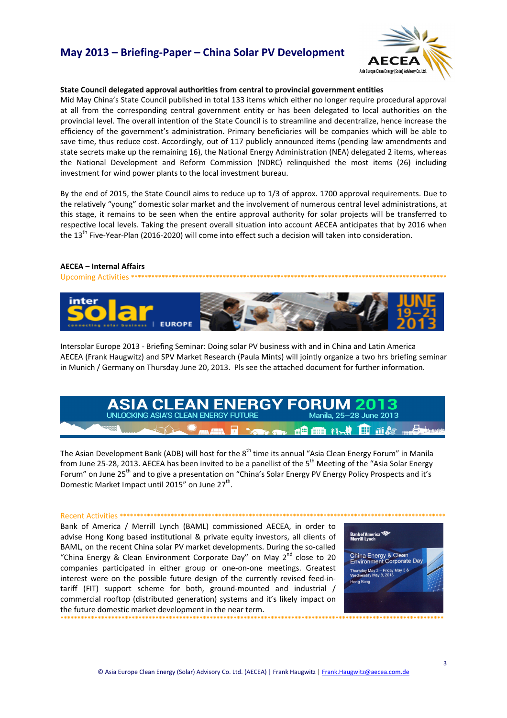# **May 2013 – Briefing‐Paper – China Solar PV Development**



### **State Council delegated approval authorities from central to provincial government entities**

Mid May China's State Council published in total 133 items which either no longer require procedural approval at all from the corresponding central government entity or has been delegated to local authorities on the provincial level. The overall intention of the State Council is to streamline and decentralize, hence increase the efficiency of the government's administration. Primary beneficiaries will be companies which will be able to save time, thus reduce cost. Accordingly, out of 117 publicly announced items (pending law amendments and state secrets make up the remaining 16), the National Energy Administration (NEA) delegated 2 items, whereas the National Development and Reform Commission (NDRC) relinquished the most items (26) including investment for wind power plants to the local investment bureau.

By the end of 2015, the State Council aims to reduce up to 1/3 of approx. 1700 approval requirements. Due to the relatively "young" domestic solar market and the involvement of numerous central level administrations, at this stage, it remains to be seen when the entire approval authority for solar projects will be transferred to respective local levels. Taking the present overall situation into account AECEA anticipates that by 2016 when the 13<sup>th</sup> Five-Year-Plan (2016-2020) will come into effect such a decision will taken into consideration.

## **AECEA – Internal Affairs**

Upcoming Activities \*\*\*\*



Intersolar Europe 2013 ‐ Briefing Seminar: Doing solar PV business with and in China and Latin America AECEA (Frank Haugwitz) and SPV Market Research (Paula Mints) will jointly organize a two hrs briefing seminar in Munich / Germany on Thursday June 20, 2013. Pls see the attached document for further information.



The Asian Development Bank (ADB) will host for the 8<sup>th</sup> time its annual "Asia Clean Energy Forum" in Manila from June 25-28, 2013. AECEA has been invited to be a panellist of the 5<sup>th</sup> Meeting of the "Asia Solar Energy Forum" on June 25<sup>th</sup> and to give a presentation on "China's Solar Energy PV Energy Policy Prospects and it's Domestic Market Impact until 2015" on June 27<sup>th</sup>.

Recent Activities **\*\*\*\*\*\*\*\*\*\*\*\*\*\*\*\*\*\*\*\*\*\*\*\*\*\*\*\*\*\*\*\*\*\*\*\*\*\*\*\*\*\*\*\*\*\*\*\*\*\*\*\*\*\*\*\*\*\*\*\*\*\*\*\*\*\*\*\*\*\*\*\*\*\*\*\*\*\*\*\*\*\*\*\*\*\*\*\*\*\*\*\*\*\*\*\*** Bank of America / Merrill Lynch (BAML) commissioned AECEA, in order to advise Hong Kong based institutional & private equity investors, all clients of BAML, on the recent China solar PV market developments. During the so-called "China Energy & Clean Environment Corporate Day" on May  $2^{nd}$  close to 20 companies participated in either group or one‐on‐one meetings. Greatest interest were on the possible future design of the currently revised feed-intariff (FIT) support scheme for both, ground‐mounted and industrial / commercial rooftop (distributed generation) systems and it's likely impact on the future domestic market development in the near term.



**\*\*\*\*\*\*\*\*\*\*\*\*\*\*\*\*\*\*\*\*\*\*\*\*\*\*\*\*\*\*\*\*\*\*\*\*\*\*\*\*\*\*\*\*\*\*\*\*\*\*\*\*\*\*\*\*\*\*\*\*\*\*\*\*\*\*\*\*\*\*\*\*\*\*\*\*\*\*\*\*\*\*\*\*\*\*\*\*\*\*\*\*\*\*\*\*\*\*\*\*\*\*\*\*\*\*\*\*\*\*\*\*\***